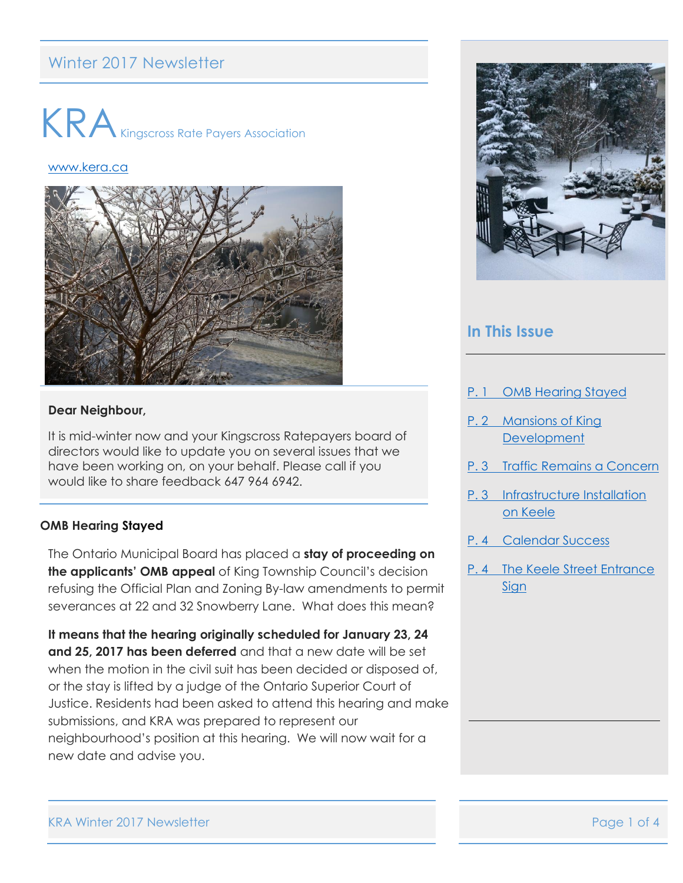# Winter 2017 Newsletter



#### [www.kera.ca](http://www.kera.ca/)



#### **Dear Neighbour,**

It is mid-winter now and your Kingscross Ratepayers board of directors would like to update you on several issues that we have been working on, on your behalf. Please call if you would like to share feedback 647 964 6942.

### <span id="page-0-0"></span>**OMB Hearing Stayed**

The Ontario Municipal Board has placed a **stay of proceeding on the applicants' OMB appeal** of King Township Council's decision refusing the Official Plan and Zoning By-law amendments to permit severances at 22 and 32 Snowberry Lane. What does this mean?

**It means that the hearing originally scheduled for January 23, 24 and 25, 2017 has been deferred** and that a new date will be set when the motion in the civil suit has been decided or disposed of, or the stay is lifted by a judge of the Ontario Superior Court of Justice. Residents had been asked to attend this hearing and make submissions, and KRA was prepared to represent our neighbourhood's position at this hearing. We will now wait for a new date and advise you.



### **In This Issue**

- P. 1 [OMB Hearing Stayed](#page-0-0)
- P. 2 [Mansions of King](#page-1-0)  **[Development](#page-1-0)**
- P. 3 [Traffic Remains a Concern](#page-2-0)
- [P. 3 Infrastructure Installation](#page-2-1)  [on Keele](#page-2-1)
- P. 4 [Calendar Success](#page-2-2)
- [P. 4 The Keele Street Entrance](#page-3-0)  [Sign](#page-3-0)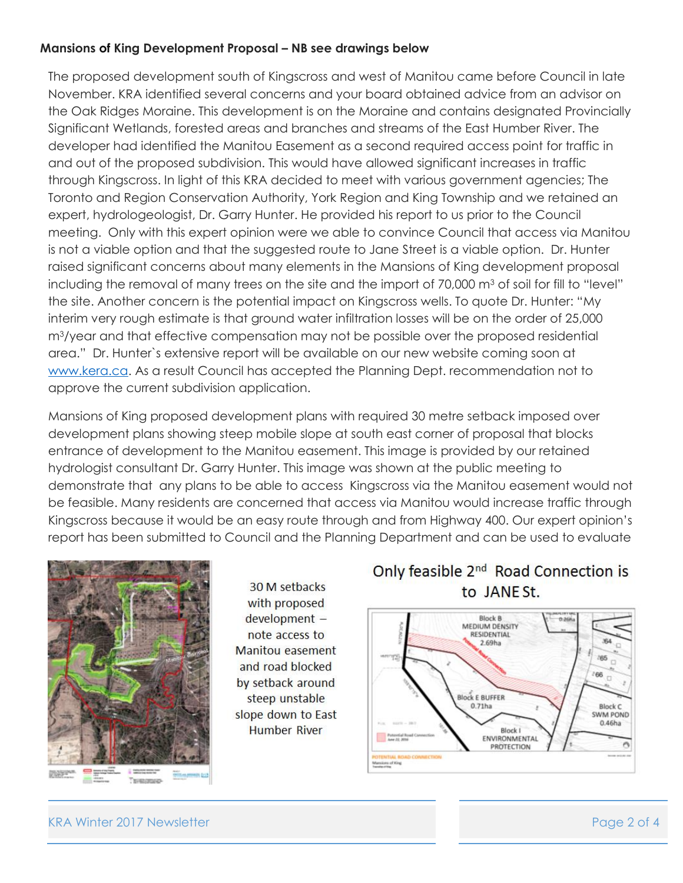### <span id="page-1-0"></span>**Mansions of King Development Proposal – NB see drawings below**

The proposed development south of Kingscross and west of Manitou came before Council in late November. KRA identified several concerns and your board obtained advice from an advisor on the Oak Ridges Moraine. This development is on the Moraine and contains designated Provincially Significant Wetlands, forested areas and branches and streams of the East Humber River. The developer had identified the Manitou Easement as a second required access point for traffic in and out of the proposed subdivision. This would have allowed significant increases in traffic through Kingscross. In light of this KRA decided to meet with various government agencies; The Toronto and Region Conservation Authority, York Region and King Township and we retained an expert, hydrologeologist, Dr. Garry Hunter. He provided his report to us prior to the Council meeting. Only with this expert opinion were we able to convince Council that access via Manitou is not a viable option and that the suggested route to Jane Street is a viable option. Dr. Hunter raised significant concerns about many elements in the Mansions of King development proposal including the removal of many trees on the site and the import of  $70,000$  m<sup>3</sup> of soil for fill to "level" the site. Another concern is the potential impact on Kingscross wells. To quote Dr. Hunter: "My interim very rough estimate is that ground water infiltration losses will be on the order of 25,000 m3/year and that effective compensation may not be possible over the proposed residential area." Dr. Hunter`s extensive report will be available on our new website coming soon at [www.kera.ca.](http://www.kera.ca/) As a result Council has accepted the Planning Dept. recommendation not to approve the current subdivision application.

Mansions of King proposed development plans with required 30 metre setback imposed over development plans showing steep mobile slope at south east corner of proposal that blocks entrance of development to the Manitou easement. This image is provided by our retained hydrologist consultant Dr. Garry Hunter. This image was shown at the public meeting to demonstrate that any plans to be able to access Kingscross via the Manitou easement would not be feasible. Many residents are concerned that access via Manitou would increase traffic through Kingscross because it would be an easy route through and from Highway 400. Our expert opinion's report has been submitted to Council and the Planning Department and can be used to evaluate



30 M setbacks with proposed development note access to Manitou easement and road blocked by setback around steep unstable slope down to East **Humber River** 

# Only feasible 2<sup>nd</sup> Road Connection is to JANE St.



KRA Winter 2017 Newsletter **Page 2 of 4**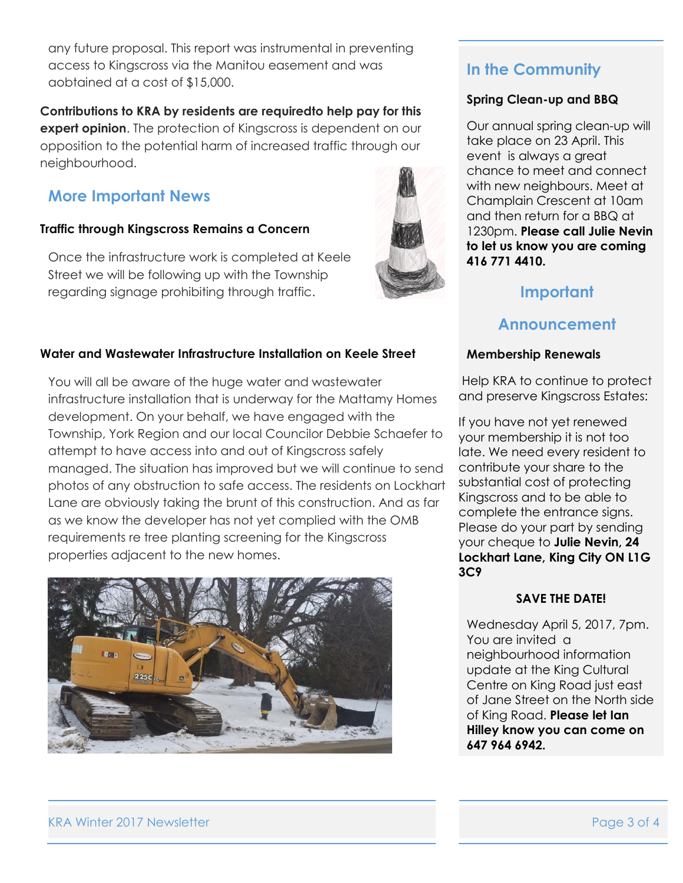any future proposal. This report was instrumental in preventing access to Kingscross via the Manitou easement and was aobtained at a cost of \$15,000.

**Contributions to KRA by residents are requiredto help pay for this expert opinion**. The protection of Kingscross is dependent on our opposition to the potential harm of increased traffic through our neighbourhood.

# **More Important News**

### <span id="page-2-0"></span>**Traffic through Kingscross Remains a Concern**

Once the infrastructure work is completed at Keele Street we will be following up with the Township regarding signage prohibiting through traffic.

<span id="page-2-1"></span>

You will all be aware of the huge water and wastewater infrastructure installation that is underway for the Mattamy Homes development. On your behalf, we have engaged with the Township, York Region and our local Councilor Debbie Schaefer to attempt to have access into and out of Kingscross safely managed. The situation has improved but we will continue to send photos of any obstruction to safe access. The residents on Lockhart Lane are obviously taking the brunt of this construction. And as far as we know the developer has not yet complied with the OMB requirements re tree planting screening for the Kingscross properties adjacent to the new homes.

<span id="page-2-2"></span>



# **In the Community**

### **Spring Clean-up and BBQ**

Our annual spring clean-up will take place on 23 April. This event is always a great chance to meet and connect with new neighbours. Meet at Champlain Crescent at 10am and then return for a BBQ at 1230pm. **Please call Julie Nevin to let us know you are coming 416 771 4410.**

# **Important**

## **Announcement**

### **Membership Renewals**

Help KRA to continue to protect and preserve Kingscross Estates:

If you have not yet renewed your membership it is not too late. We need every resident to contribute your share to the substantial cost of protecting Kingscross and to be able to complete the entrance signs. Please do your part by sending your cheque to **Julie Nevin, 24 Lockhart Lane, King City ON L1G 3C9**

### **SAVE THE DATE!**

Wednesday April 5, 2017, 7pm. You are invited a neighbourhood information update at the King Cultural Centre on King Road just east of Jane Street on the North side of King Road. **Please let Ian Hilley know you can come on 647 964 6942.**